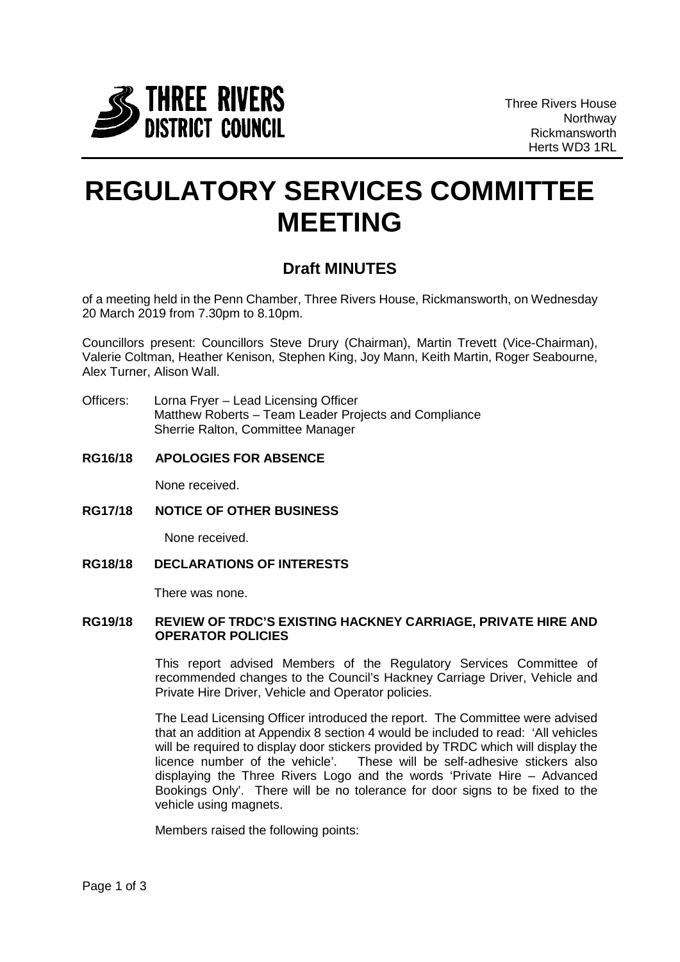

## **REGULATORY SERVICES COMMITTEE MEETING**

## **Draft MINUTES**

of a meeting held in the Penn Chamber, Three Rivers House, Rickmansworth, on Wednesday 20 March 2019 from 7.30pm to 8.10pm.

Councillors present: Councillors Steve Drury (Chairman), Martin Trevett (Vice-Chairman), Valerie Coltman, Heather Kenison, Stephen King, Joy Mann, Keith Martin, Roger Seabourne, Alex Turner, Alison Wall.

- Officers: Lorna Fryer Lead Licensing Officer Matthew Roberts – Team Leader Projects and Compliance Sherrie Ralton, Committee Manager
- **RG16/18 APOLOGIES FOR ABSENCE**

None received.

**RG17/18 NOTICE OF OTHER BUSINESS**

None received.

**RG18/18 DECLARATIONS OF INTERESTS**

There was none.

## **RG19/18 REVIEW OF TRDC'S EXISTING HACKNEY CARRIAGE, PRIVATE HIRE AND OPERATOR POLICIES**

This report advised Members of the Regulatory Services Committee of recommended changes to the Council's Hackney Carriage Driver, Vehicle and Private Hire Driver, Vehicle and Operator policies.

The Lead Licensing Officer introduced the report. The Committee were advised that an addition at Appendix 8 section 4 would be included to read: 'All vehicles will be required to display door stickers provided by TRDC which will display the licence number of the vehicle'. These will be self-adhesive stickers also displaying the Three Rivers Logo and the words 'Private Hire – Advanced Bookings Only'. There will be no tolerance for door signs to be fixed to the vehicle using magnets.

Members raised the following points: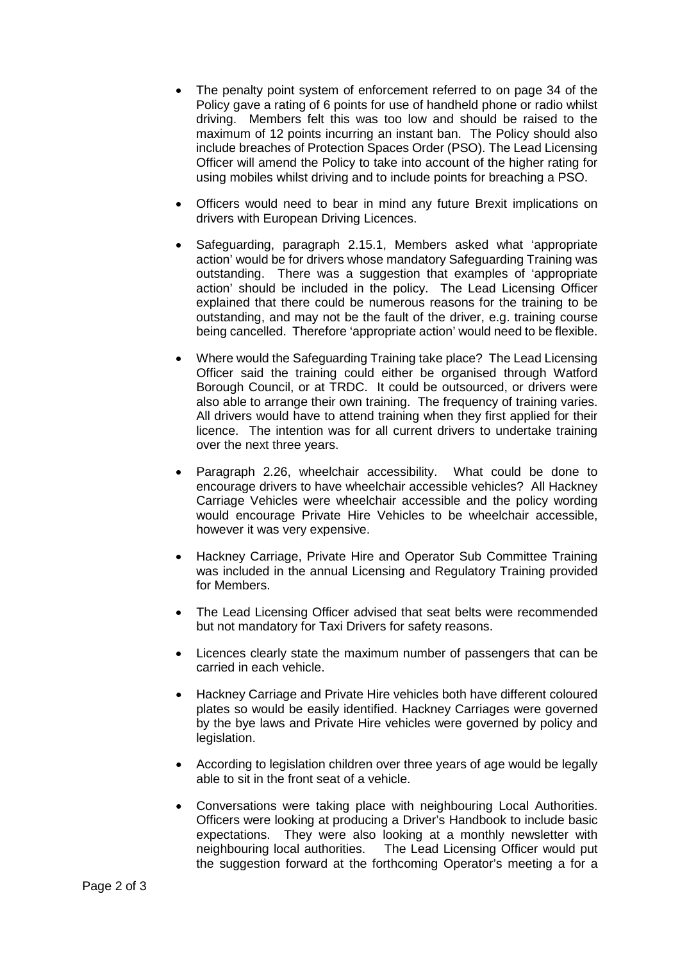- The penalty point system of enforcement referred to on page 34 of the Policy gave a rating of 6 points for use of handheld phone or radio whilst driving. Members felt this was too low and should be raised to the maximum of 12 points incurring an instant ban. The Policy should also include breaches of Protection Spaces Order (PSO). The Lead Licensing Officer will amend the Policy to take into account of the higher rating for using mobiles whilst driving and to include points for breaching a PSO.
- Officers would need to bear in mind any future Brexit implications on drivers with European Driving Licences.
- Safeguarding, paragraph 2.15.1, Members asked what 'appropriate action' would be for drivers whose mandatory Safeguarding Training was outstanding. There was a suggestion that examples of 'appropriate action' should be included in the policy. The Lead Licensing Officer explained that there could be numerous reasons for the training to be outstanding, and may not be the fault of the driver, e.g. training course being cancelled. Therefore 'appropriate action' would need to be flexible.
- Where would the Safeguarding Training take place? The Lead Licensing Officer said the training could either be organised through Watford Borough Council, or at TRDC. It could be outsourced, or drivers were also able to arrange their own training. The frequency of training varies. All drivers would have to attend training when they first applied for their licence. The intention was for all current drivers to undertake training over the next three years.
- Paragraph 2.26, wheelchair accessibility. What could be done to encourage drivers to have wheelchair accessible vehicles? All Hackney Carriage Vehicles were wheelchair accessible and the policy wording would encourage Private Hire Vehicles to be wheelchair accessible, however it was very expensive.
- Hackney Carriage, Private Hire and Operator Sub Committee Training was included in the annual Licensing and Regulatory Training provided for Members.
- The Lead Licensing Officer advised that seat belts were recommended but not mandatory for Taxi Drivers for safety reasons.
- Licences clearly state the maximum number of passengers that can be carried in each vehicle.
- Hackney Carriage and Private Hire vehicles both have different coloured plates so would be easily identified. Hackney Carriages were governed by the bye laws and Private Hire vehicles were governed by policy and legislation.
- According to legislation children over three years of age would be legally able to sit in the front seat of a vehicle.
- Conversations were taking place with neighbouring Local Authorities. Officers were looking at producing a Driver's Handbook to include basic expectations. They were also looking at a monthly newsletter with neighbouring local authorities. The Lead Licensing Officer would put the suggestion forward at the forthcoming Operator's meeting a for a